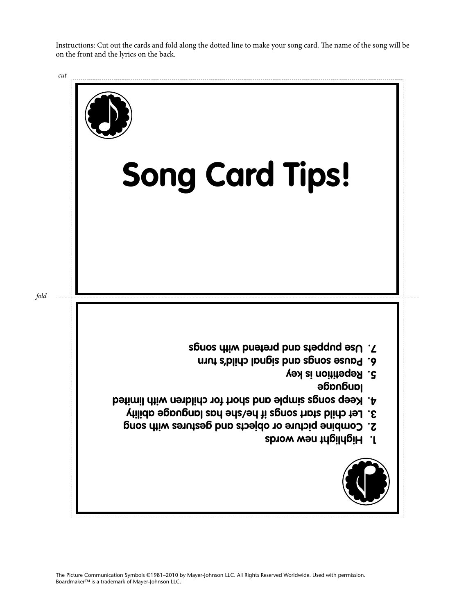*cut fold* **Song Card Tips! Highlight new words 1. Combine picture or objects and gestures with song 2. Let child start songs if he/she has language ability 3. Keep songs simple and short for children with limited 4. language Repetition is key 5. Pause songs and signal child's turn 6. Use puppets and pretend with songs 7.**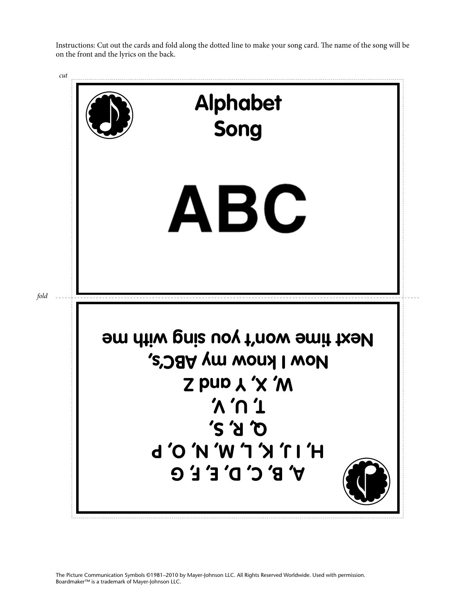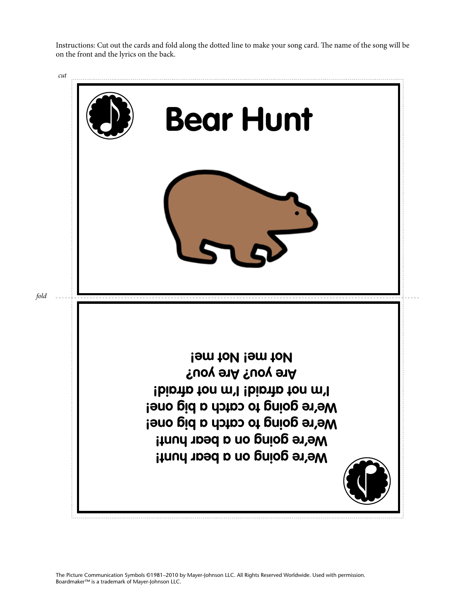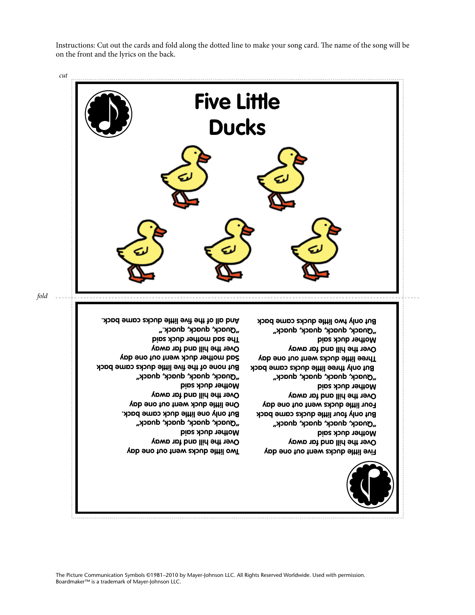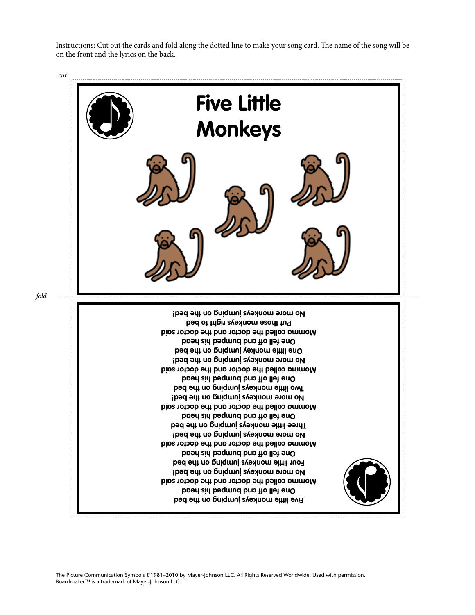*cut fold* **Five Little Monkeys Five little monkeys jumping on the bed One fell off and bumped his head Momma called the doctor and the doctor said No more monkeys jumping on the bed! Four little monkeys jumping on the bed One fell off and bumped his head Momma called the doctor and the doctor said No more monkeys jumping on the bed! Three little monkeys jumping on the bed One fell off and bumped his head Momma called the doctor and the doctor said No more monkeys jumping on the bed! Two little monkeys jumping on the bed One fell off and bumped his head Momma called the doctor and the doctor said No more monkeys jumping on the bed! One little monkey jumping on the bed One fell off and bumped his head Momma called the doctor and the doctor said Put those monkeys right to bed No more monkeys jumping on the bed!**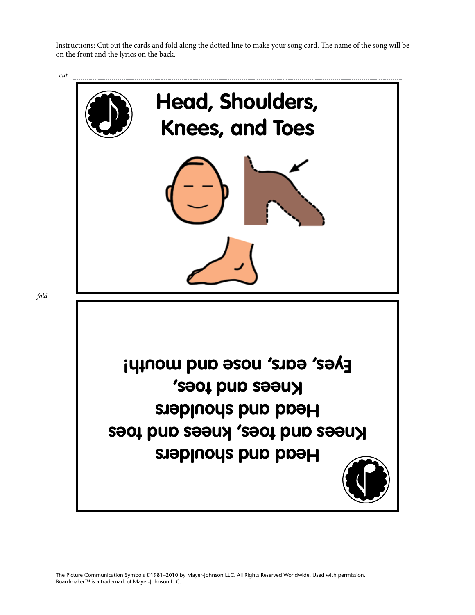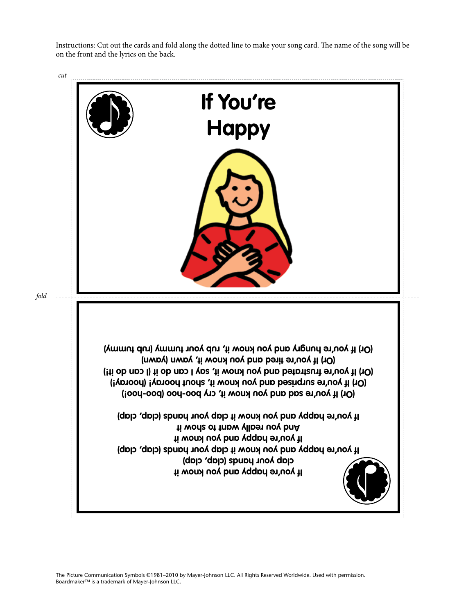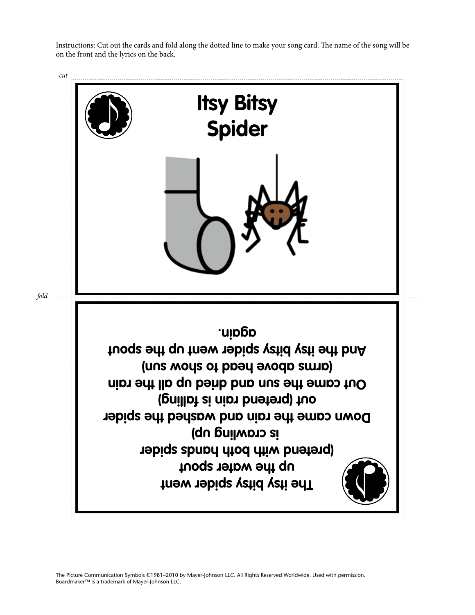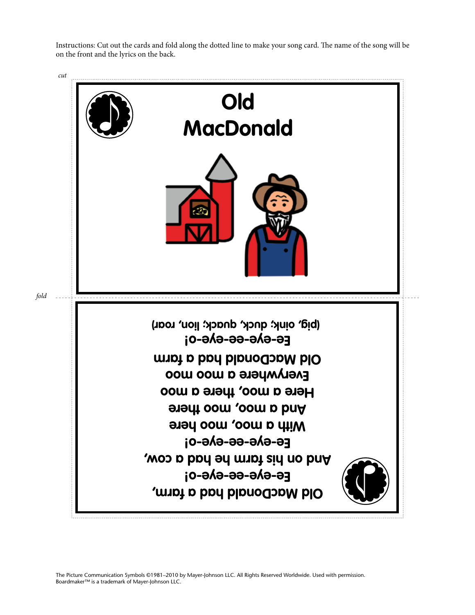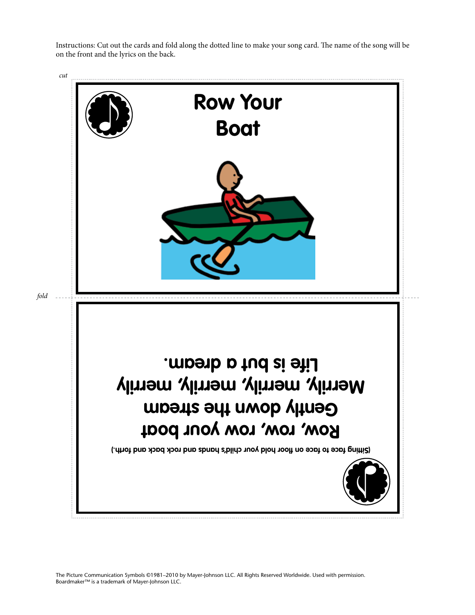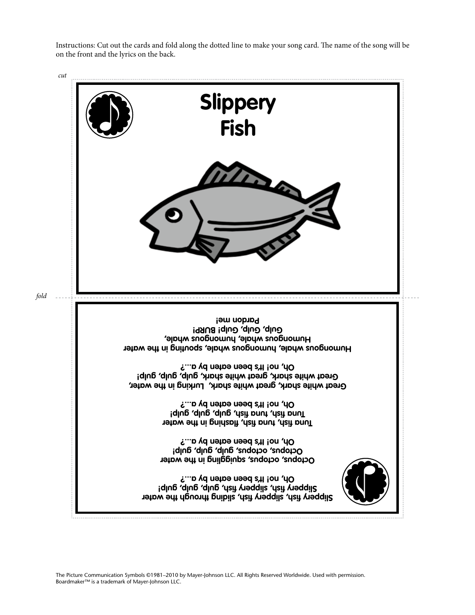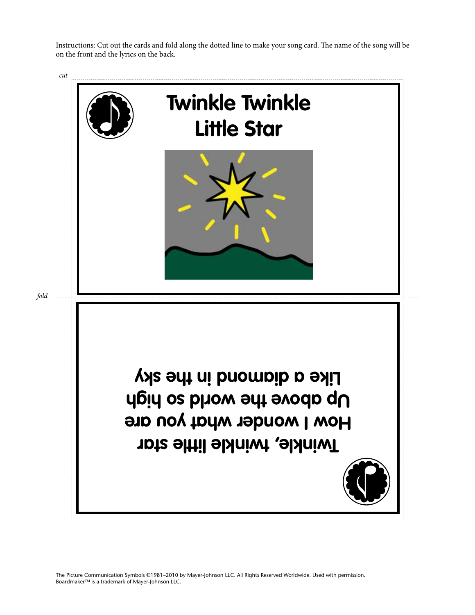